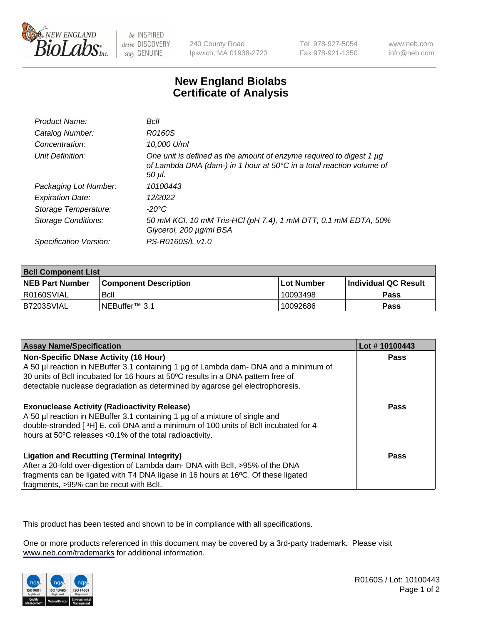

be INSPIRED drive DISCOVERY stay GENUINE

240 County Road Ipswich, MA 01938-2723 Tel 978-927-5054 Fax 978-921-1350

www.neb.com info@neb.com

## **New England Biolabs Certificate of Analysis**

| Product Name:           | Bcll                                                                                                                                                  |
|-------------------------|-------------------------------------------------------------------------------------------------------------------------------------------------------|
| Catalog Number:         | R0160S                                                                                                                                                |
| Concentration:          | 10,000 U/ml                                                                                                                                           |
| Unit Definition:        | One unit is defined as the amount of enzyme required to digest 1 µg<br>of Lambda DNA (dam-) in 1 hour at 50°C in a total reaction volume of<br>50 µl. |
| Packaging Lot Number:   | 10100443                                                                                                                                              |
| <b>Expiration Date:</b> | 12/2022                                                                                                                                               |
| Storage Temperature:    | -20°C                                                                                                                                                 |
| Storage Conditions:     | 50 mM KCl, 10 mM Tris-HCl (pH 7.4), 1 mM DTT, 0.1 mM EDTA, 50%<br>Glycerol, 200 µg/ml BSA                                                             |
| Specification Version:  | PS-R0160S/L v1.0                                                                                                                                      |

| <b>Bcll Component List</b> |                              |            |                             |  |  |
|----------------------------|------------------------------|------------|-----------------------------|--|--|
| <b>NEB Part Number</b>     | <b>Component Description</b> | Lot Number | <b>Individual QC Result</b> |  |  |
| I R0160SVIAL               | <b>B</b> cll                 | 10093498   | <b>Pass</b>                 |  |  |
| I B7203SVIAL               | INEBuffer™ 3.1               | 10092686   | <b>Pass</b>                 |  |  |

| <b>Assay Name/Specification</b>                                                                                                                                                                                                                                                                           | Lot #10100443 |
|-----------------------------------------------------------------------------------------------------------------------------------------------------------------------------------------------------------------------------------------------------------------------------------------------------------|---------------|
| <b>Non-Specific DNase Activity (16 Hour)</b><br>A 50 µl reaction in NEBuffer 3.1 containing 1 µg of Lambda dam- DNA and a minimum of<br>30 units of BcII incubated for 16 hours at 50°C results in a DNA pattern free of<br>detectable nuclease degradation as determined by agarose gel electrophoresis. | <b>Pass</b>   |
| <b>Exonuclease Activity (Radioactivity Release)</b><br>A 50 µl reaction in NEBuffer 3.1 containing 1 µg of a mixture of single and<br>double-stranded [3H] E. coli DNA and a minimum of 100 units of Bcll incubated for 4<br>hours at 50°C releases <0.1% of the total radioactivity.                     | Pass          |
| <b>Ligation and Recutting (Terminal Integrity)</b><br>After a 20-fold over-digestion of Lambda dam- DNA with Bcll, >95% of the DNA<br>fragments can be ligated with T4 DNA ligase in 16 hours at 16°C. Of these ligated<br>fragments, >95% can be recut with Bcll.                                        | Pass          |

This product has been tested and shown to be in compliance with all specifications.

One or more products referenced in this document may be covered by a 3rd-party trademark. Please visit <www.neb.com/trademarks>for additional information.